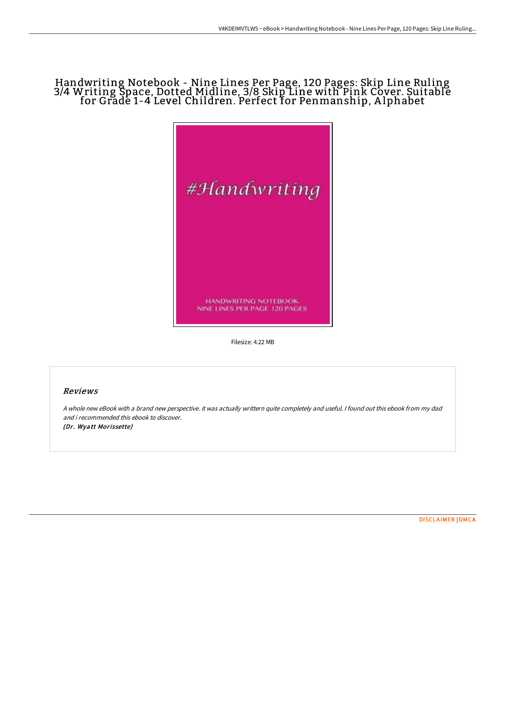## Handwriting Notebook - Nine Lines Per Page, 120 Pages: Skip Line Ruling 3/4 Writing Space, Dotted Midline, 3/8 Skip Line with Pink Cover. Suitable for Grade 1-4 Level Children. Perfect for Penmanship, A lphabet



Filesize: 4.22 MB

## Reviews

A whole new eBook with <sup>a</sup> brand new perspective. it was actually writtern quite completely and useful. I found out this ebook from my dad and i recommended this ebook to discover. (Dr. Wyatt Morissette)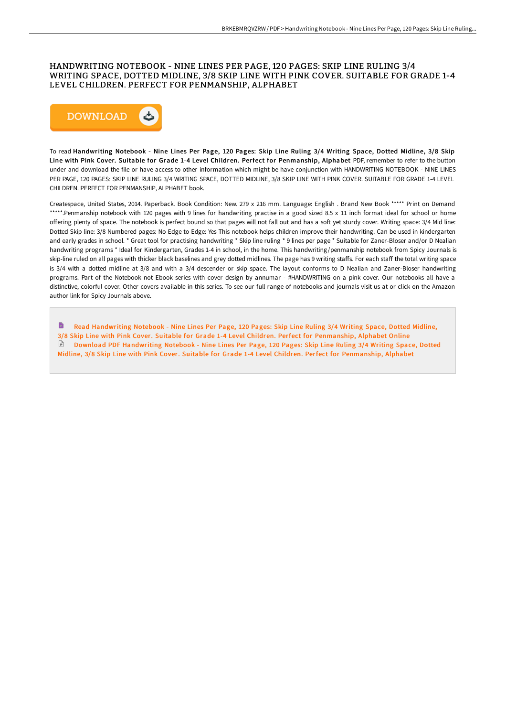## HANDWRITING NOTEBOOK - NINE LINES PER PAGE, 120 PAGES: SKIP LINE RULING 3/4 WRITING SPACE, DOTTED MIDLINE, 3/8 SKIP LINE WITH PINK COVER. SUITABLE FOR GRADE 1-4 LEVEL CHILDREN. PERFECT FOR PENMANSHIP, ALPHABET



To read Handwriting Notebook - Nine Lines Per Page, 120 Pages: Skip Line Ruling 3/4 Writing Space, Dotted Midline, 3/8 Skip Line with Pink Cover. Suitable for Grade 1-4 Level Children. Perfect for Penmanship, Alphabet PDF, remember to refer to the button under and download the file or have access to other information which might be have conjunction with HANDWRITING NOTEBOOK - NINE LINES PER PAGE, 120 PAGES: SKIP LINE RULING 3/4 WRITING SPACE, DOTTED MIDLINE, 3/8 SKIP LINE WITH PINK COVER. SUITABLE FOR GRADE 1-4 LEVEL CHILDREN. PERFECT FOR PENMANSHIP, ALPHABET book.

Createspace, United States, 2014. Paperback. Book Condition: New. 279 x 216 mm. Language: English . Brand New Book \*\*\*\*\* Print on Demand \*\*\*\*\*.Penmanship notebook with 120 pages with 9 lines for handwriting practise in a good sized 8.5 x 11 inch format ideal for school or home offering plenty of space. The notebook is perfect bound so that pages will not fall out and has a soft yet sturdy cover. Writing space: 3/4 Mid line: Dotted Skip line: 3/8 Numbered pages: No Edge to Edge: Yes This notebook helps children improve their handwriting. Can be used in kindergarten and early grades in school. \* Great tool for practising handwriting \* Skip line ruling \* 9 lines per page \* Suitable for Zaner-Bloser and/or D Nealian handwriting programs \* Ideal for Kindergarten, Grades 1-4 in school, in the home. This handwriting/penmanship notebook from Spicy Journals is skip-line ruled on all pages with thicker black baselines and grey dotted midlines. The page has 9 writing staffs. For each staff the total writing space is 3/4 with a dotted midline at 3/8 and with a 3/4 descender or skip space. The layout conforms to D Nealian and Zaner-Bloser handwriting programs. Part of the Notebook not Ebook series with cover design by annumar - #HANDWRITING on a pink cover. Our notebooks all have a distinctive, colorful cover. Other covers available in this series. To see our full range of notebooks and journals visit us at or click on the Amazon author link for Spicy Journals above.

h Read Handwriting Notebook - Nine Lines Per Page, 120 Pages: Skip Line Ruling 3/4 Writing Space, Dotted Midline, 3/8 Skip Line with Pink Cover. Suitable for Grade 1-4 Level Children. Perfect for [Penmanship,](http://techno-pub.tech/handwriting-notebook-nine-lines-per-page-120-pag-7.html) Alphabet Online Download PDF Handwriting Notebook - Nine Lines Per Page, 120 Pages: Skip Line Ruling 3/4 Writing Space, Dotted Midline, 3/8 Skip Line with Pink Cover. Suitable for Grade 1-4 Level Children. Perfect for [Penmanship,](http://techno-pub.tech/handwriting-notebook-nine-lines-per-page-120-pag-7.html) Alphabet